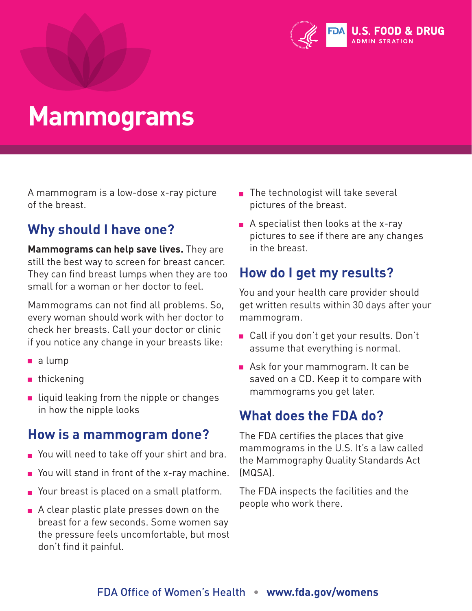

## **Mammograms**

A mammogram is a low-dose x-ray picture of the breast.

### **Why should I have one?**

**Mammograms can help save lives.** They are still the best way to screen for breast cancer. They can find breast lumps when they are too small for a woman or her doctor to feel.

Mammograms can not find all problems. So, every woman should work with her doctor to check her breasts. Call your doctor or clinic if you notice any change in your breasts like:

- a lump
- **thickening**
- $\blacksquare$  liquid leaking from the nipple or changes in how the nipple looks

#### **How is a mammogram done?**

- You will need to take off your shirt and bra.
- $\blacksquare$  You will stand in front of the x-ray machine.
- Your breast is placed on a small platform.
- $\blacksquare$  A clear plastic plate presses down on the breast for a few seconds. Some women say the pressure feels uncomfortable, but most don't find it painful.
- $\blacksquare$  The technologist will take several pictures of the breast.
- $\blacksquare$  A specialist then looks at the x-ray pictures to see if there are any changes in the breast.

### **How do I get my results?**

You and your health care provider should get written results within 30 days after your mammogram.

- Call if you don't get your results. Don't assume that everything is normal.
- Ask for your mammogram. It can be saved on a CD. Keep it to compare with mammograms you get later.

#### **What does the FDA do?**

The FDA certifies the places that give mammograms in the U.S. It's a law called the Mammography Quality Standards Act (MQSA).

The FDA inspects the facilities and the people who work there.